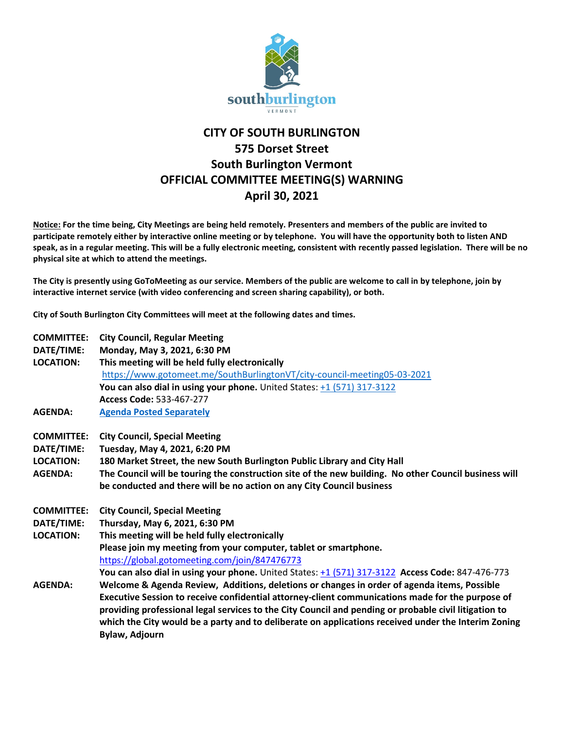

## **CITY OF SOUTH BURLINGTON 575 Dorset Street South Burlington Vermont OFFICIAL COMMITTEE MEETING(S) WARNING April 30, 2021**

**Notice: For the time being, City Meetings are being held remotely. Presenters and members of the public are invited to participate remotely either by interactive online meeting or by telephone. You will have the opportunity both to listen AND speak, as in a regular meeting. This will be a fully electronic meeting, consistent with recently passed legislation. There will be no physical site at which to attend the meetings.** 

**The City is presently using GoToMeeting as our service. Members of the public are welcome to call in by telephone, join by interactive internet service (with video conferencing and screen sharing capability), or both.**

**City of South Burlington City Committees will meet at the following dates and times.** 

| <b>COMMITTEE:</b> | <b>City Council, Regular Meeting</b>                                                                                  |
|-------------------|-----------------------------------------------------------------------------------------------------------------------|
| DATE/TIME:        | Monday, May 3, 2021, 6:30 PM                                                                                          |
| <b>LOCATION:</b>  | This meeting will be held fully electronically                                                                        |
|                   | https://www.gotomeet.me/SouthBurlingtonVT/city-council-meeting05-03-2021                                              |
|                   | You can also dial in using your phone. United States: +1 (571) 317-3122                                               |
|                   | Access Code: 533-467-277                                                                                              |
| <b>AGENDA:</b>    | <b>Agenda Posted Separately</b>                                                                                       |
| <b>COMMITTEE:</b> | <b>City Council, Special Meeting</b>                                                                                  |
| DATE/TIME:        | Tuesday, May 4, 2021, 6:20 PM                                                                                         |
| <b>LOCATION:</b>  | 180 Market Street, the new South Burlington Public Library and City Hall                                              |
| <b>AGENDA:</b>    | The Council will be touring the construction site of the new building. No other Council business will                 |
|                   | be conducted and there will be no action on any City Council business                                                 |
| <b>COMMITTEE:</b> | <b>City Council, Special Meeting</b>                                                                                  |
| DATE/TIME:        | Thursday, May 6, 2021, 6:30 PM                                                                                        |
| <b>LOCATION:</b>  | This meeting will be held fully electronically                                                                        |
|                   | Please join my meeting from your computer, tablet or smartphone.                                                      |
|                   | https://global.gotomeeting.com/join/847476773                                                                         |
|                   | You can also dial in using your phone. United States: $\pm 1$ (571) 317-3122 Access Code: 847-476-773                 |
| <b>AGENDA:</b>    | Welcome & Agenda Review, Additions, deletions or changes in order of agenda items, Possible                           |
|                   | Executive Session to receive confidential attorney-client communications made for the purpose of                      |
|                   | providing professional legal services to the City Council and pending or probable civil litigation to                 |
|                   | which the City would be a party and to deliberate on applications received under the Interim Zoning<br>Bylaw, Adjourn |